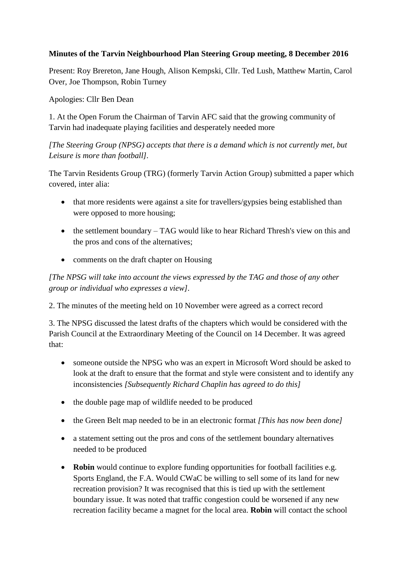## **Minutes of the Tarvin Neighbourhood Plan Steering Group meeting, 8 December 2016**

Present: Roy Brereton, Jane Hough, Alison Kempski, Cllr. Ted Lush, Matthew Martin, Carol Over, Joe Thompson, Robin Turney

Apologies: Cllr Ben Dean

1. At the Open Forum the Chairman of Tarvin AFC said that the growing community of Tarvin had inadequate playing facilities and desperately needed more

*[The Steering Group (NPSG) accepts that there is a demand which is not currently met, but Leisure is more than football].*

The Tarvin Residents Group (TRG) (formerly Tarvin Action Group) submitted a paper which covered, inter alia:

- that more residents were against a site for travellers/gypsies being established than were opposed to more housing;
- the settlement boundary TAG would like to hear Richard Thresh's view on this and the pros and cons of the alternatives;
- comments on the draft chapter on Housing

*[The NPSG will take into account the views expressed by the TAG and those of any other group or individual who expresses a view].*

2. The minutes of the meeting held on 10 November were agreed as a correct record

3. The NPSG discussed the latest drafts of the chapters which would be considered with the Parish Council at the Extraordinary Meeting of the Council on 14 December. It was agreed that:

- someone outside the NPSG who was an expert in Microsoft Word should be asked to look at the draft to ensure that the format and style were consistent and to identify any inconsistencies *[Subsequently Richard Chaplin has agreed to do this]*
- the double page map of wildlife needed to be produced
- the Green Belt map needed to be in an electronic format *[This has now been done]*
- a statement setting out the pros and cons of the settlement boundary alternatives needed to be produced
- **Robin** would continue to explore funding opportunities for football facilities e.g. Sports England, the F.A. Would CWaC be willing to sell some of its land for new recreation provision? It was recognised that this is tied up with the settlement boundary issue. It was noted that traffic congestion could be worsened if any new recreation facility became a magnet for the local area. **Robin** will contact the school